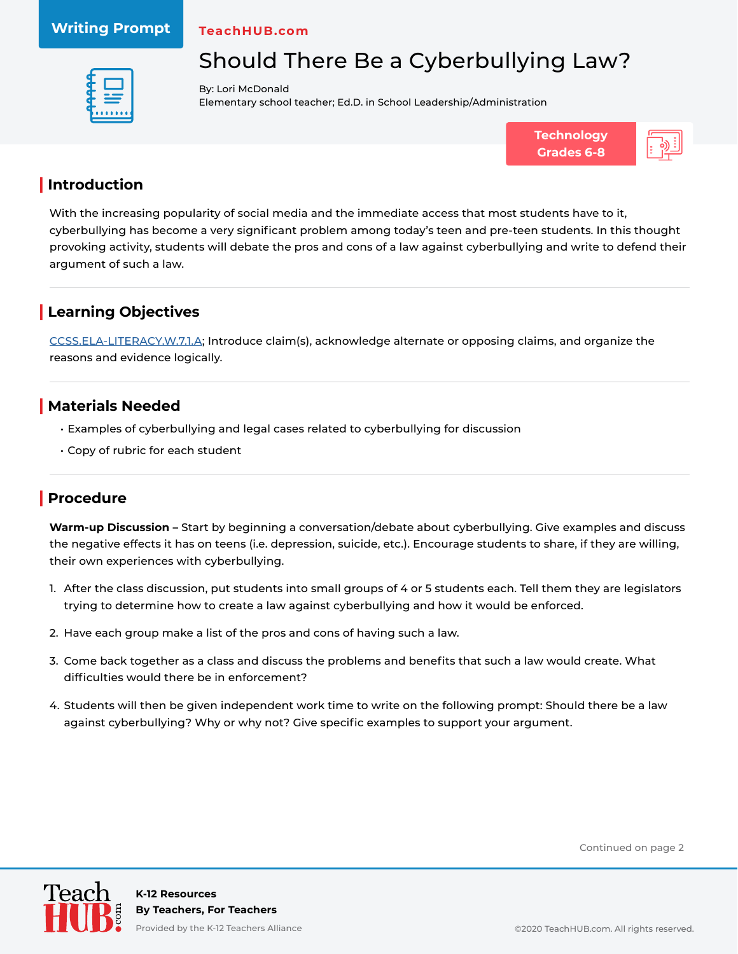**TeachHUB.com**



## Should There Be a Cyberbullying Law?

By: Lori McDonald Elementary school teacher; Ed.D. in School Leadership/Administration





#### **| Introduction**

With the increasing popularity of social media and the immediate access that most students have to it, cyberbullying has become a very significant problem among today's teen and pre-teen students. In this thought provoking activity, students will debate the pros and cons of a law against cyberbullying and write to defend their argument of such a law.

#### **| Learning Objectives**

[CCSS.ELA-LITERACY.W.7.1.A;](http://www.corestandards.org/ELA-Literacy/W/7/1/a/) Introduce claim(s), acknowledge alternate or opposing claims, and organize the reasons and evidence logically.

#### **| Materials Needed**

- Examples of cyberbullying and legal cases related to cyberbullying for discussion
- Copy of rubric for each student

#### **| Procedure**

**Warm-up Discussion –** Start by beginning a conversation/debate about cyberbullying. Give examples and discuss the negative effects it has on teens (i.e. depression, suicide, etc.). Encourage students to share, if they are willing, their own experiences with cyberbullying.

- 1. After the class discussion, put students into small groups of 4 or 5 students each. Tell them they are legislators trying to determine how to create a law against cyberbullying and how it would be enforced.
- 2. Have each group make a list of the pros and cons of having such a law.
- 3. Come back together as a class and discuss the problems and benefits that such a law would create. What difficulties would there be in enforcement?
- 4. Students will then be given independent work time to write on the following prompt: Should there be a law against cyberbullying? Why or why not? Give specific examples to support your argument.

Continued on page 2